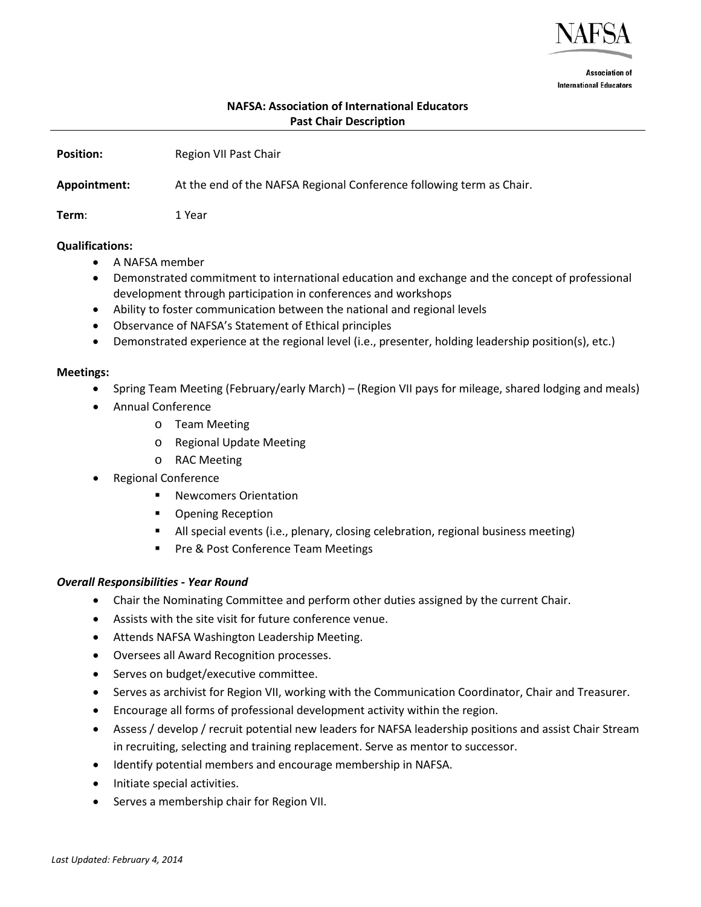

**Association of International Educators** 

# **NAFSA: Association of International Educators Past Chair Description**

| <b>Position:</b> | Region VII Past Chair                                                |
|------------------|----------------------------------------------------------------------|
| Appointment:     | At the end of the NAFSA Regional Conference following term as Chair. |
| Term:            | 1 Year                                                               |

#### **Qualifications:**

- A NAFSA member
- Demonstrated commitment to international education and exchange and the concept of professional development through participation in conferences and workshops
- Ability to foster communication between the national and regional levels
- Observance of NAFSA's Statement of Ethical principles
- Demonstrated experience at the regional level (i.e., presenter, holding leadership position(s), etc.)

### **Meetings:**

- Spring Team Meeting (February/early March) (Region VII pays for mileage, shared lodging and meals)
- Annual Conference
	- o Team Meeting
	- o Regional Update Meeting
	- o RAC Meeting
- Regional Conference
	- Newcomers Orientation
	- Opening Reception
	- All special events (i.e., plenary, closing celebration, regional business meeting)
	- **Pre & Post Conference Team Meetings**

## *Overall Responsibilities - Year Round*

- Chair the Nominating Committee and perform other duties assigned by the current Chair.
- Assists with the site visit for future conference venue.
- Attends NAFSA Washington Leadership Meeting.
- Oversees all Award Recognition processes.
- Serves on budget/executive committee.
- Serves as archivist for Region VII, working with the Communication Coordinator, Chair and Treasurer.
- Encourage all forms of professional development activity within the region.
- Assess / develop / recruit potential new leaders for NAFSA leadership positions and assist Chair Stream in recruiting, selecting and training replacement. Serve as mentor to successor.
- Identify potential members and encourage membership in NAFSA.
- Initiate special activities.
- Serves a membership chair for Region VII.